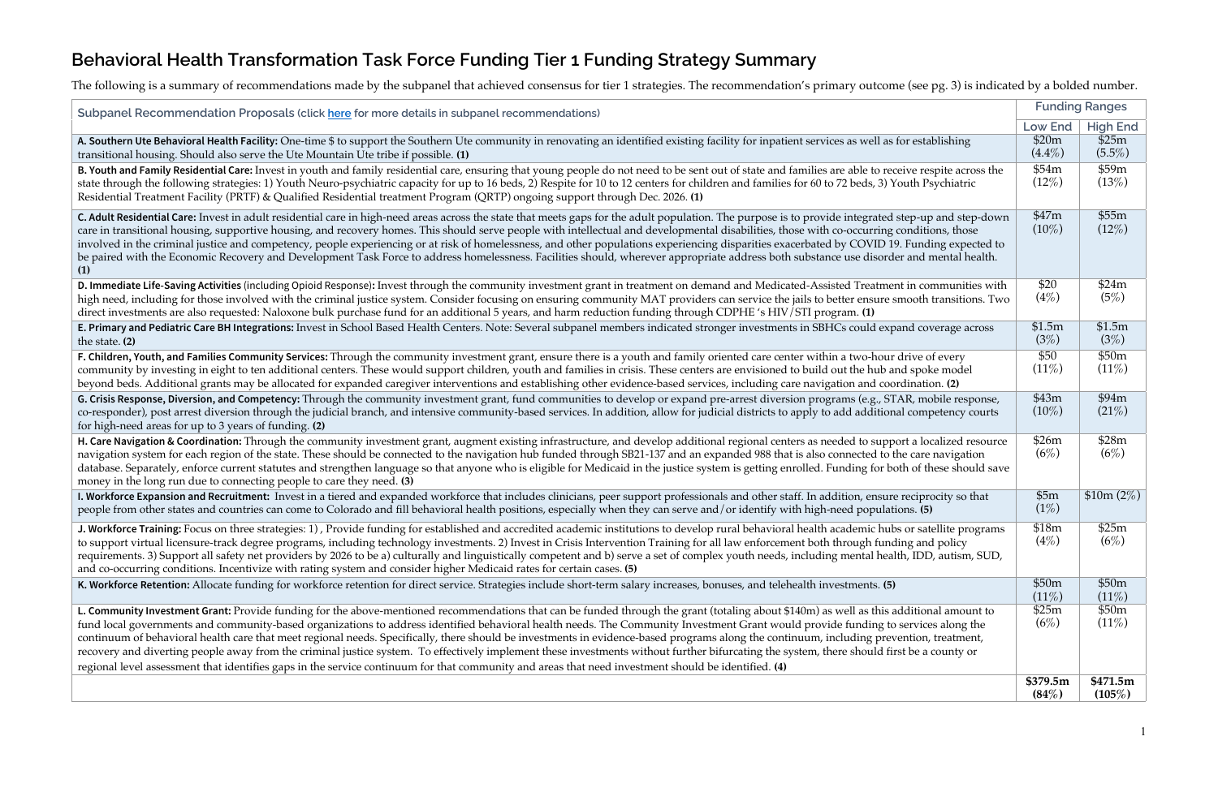## **Behavioral Health Transformation Task Force Funding Tier 1 Funding Strategy Summary**

The following is a summary of recommendations made by the subpanel that achieved consensus for tier 1 strategies. The recommendation's primary outcome (see pg. 3) is indicated by a bolded number.

**Subpanel Recommendation Proposals (click here** for more details in subpanel recommendations)

A. Southern Ute Behavioral Health Facility: One-time \$ to support the Southern Ute community in renovating an identified existing facility for inpatient services as well as transitional housing. Should also serve the Ute Mountain Ute tribe if possible. **(1)**

**B. Youth and Family Residential Care:** Invest in youth and family residential care, ensuring that young people do not need to be sent out of state and families are able to receive 1 state through the following strategies: 1) Youth Neuro-psychiatric capacity for up to 16 beds, 2) Respite for 10 to 12 centers for children and families for 60 to 72 beds, 3) Y Residential Treatment Facility (PRTF) & Qualified Residential treatment Program (QRTP) ongoing support through Dec. 2026. **(1)**

**C. Adult Residential Care:** Invest in adult residential care in high-need areas across the state that meets gaps for the adult population. The purpose is to provide integrated care in transitional housing, supportive housing, and recovery homes. This should serve people with intellectual and developmental disabilities, those with co-occurring involved in the criminal justice and competency, people experiencing or at risk of homelessness, and other populations experiencing disparities exacerbated by COVID 19. be paired with the Economic Recovery and Development Task Force to address homelessness. Facilities should, wherever appropriate address both substance use disorder and mental health. The mental health early health and men **(1)**

**D. Immediate Life-Saving Activities** (including Opioid Response): Invest through the community investment grant in treatment on demand and Medicated-Assisted Treatment high need, including for those involved with the criminal justice system. Consider focusing on ensuring community MAT providers can service the jails to better ensure s direct investments are also requested: Naloxone bulk purchase fund for an additional 5 years, and harm reduction funding through CDPHE 's HIV/STI program. **(1)** 

E. Primary and Pediatric Care BH Integrations: Invest in School Based Health Centers. Note: Several subpanel members indicated stronger investments in SBHCs could exp the state. **(2)** 

**F. Children, Youth, and Families Community Services:** Through the community investment grant, ensure there is a youth and family oriented care center within a two-hour community by investing in eight to ten additional centers. These would support children, youth and families in crisis. These centers are envisioned to build out the hub and families in crisis. These centers are envisioned beyond beds. Additional grants may be allocated for expanded caregiver interventions and establishing other evidence-based services, including care navigation and coordination.

**G. Crisis Response, Diversion, and Competency:** Through the community investment grant, fund communities to develop or expand pre-arrest diversion programs (e.g., ST co-responder), post arrest diversion through the judicial branch, and intensive community-based services. In addition, allow for judicial districts to apply to add additional control and additional control control control for high-need areas for up to 3 years of funding. **(2)**

**H. Care Navigation & Coordination:** Through the community investment grant, augment existing infrastructure, and develop additional regional centers as needed to support of a local centers as needed to support of a local navigation system for each region of the state. These should be connected to the navigation hub funded through SB21-137 and an expanded 988 that is also connected to the database. Separately, enforce current statutes and strengthen language so that anyone who is eligible for Medicaid in the justice system is getting enrolled. Funding for both of these should say all these should say all sa money in the long run due to connecting people to care they need. **(3)**

**I. Workforce Expansion and Recruitment:** Invest in a tiered and expanded workforce that includes clinicians, peer support professionals and other staff. In addition, ensure people from other states and countries can come to Colorado and fill behavioral health positions, especially when they can serve and/or identify with high-need populations.

J. Workforce Training: Focus on three strategies: 1), Provide funding for established and accredited academic institutions to develop rural behavioral health academic hub to support virtual licensure-track degree programs, including technology investments. 2) Invest in Crisis Intervention Training for all law enforcement both through fund requirements. 3) Support all safety net providers by 2026 to be a) culturally and linguistically competent and b) serve a set of complex youth needs, including mental health, including mental health, including mental healt and co-occurring conditions. Incentivize with rating system and consider higher Medicaid rates for certain cases. **(5)**

K. Workforce Retention: Allocate funding for workforce retention for direct service. Strategies include short-term salary increases, bonuses, and telehealth investments. (5)

**L. Community Investment Grant:** Provide funding for the above-mentioned recommendations that can be funded through the grant (totaling about \$140m) as well as this a fund local governments and community-based organizations to address identified behavioral health needs. The Community Investment Grant would provide funding to continuum of behavioral health care that meet regional needs. Specifically, there should be investments in evidence-based programs along the continuum, including prev recovery and diverting people away from the criminal justice system. To effectively implement these investments without further bifurcating the system, there should fir regional level assessment that identifies gaps in the service continuum for that community and areas that need investment should be identified. **(4)**

| ס ז - - - - -                      |                       |                 |
|------------------------------------|-----------------------|-----------------|
|                                    | <b>Funding Ranges</b> |                 |
|                                    | <b>Low End</b>        | <b>High End</b> |
| for establishing                   | \$20m                 | \$25m           |
|                                    | $(4.4\%)$             | $(5.5\%)$       |
| ceive respite across the           | \$54m                 | \$59m           |
| 'outh Psychiatric                  | (12%)                 | (13%)           |
|                                    |                       |                 |
| step-up and step-down              | \$47m                 | \$55m           |
| conditions, those                  | $(10\%)$              | (12%)           |
| 9. Funding expected to             |                       |                 |
| er and mental health.              |                       |                 |
|                                    |                       |                 |
| nt in communities with             | \$20                  | \$24m           |
| mooth transitions. Two             | (4%)                  | (5%)            |
|                                    |                       |                 |
| and coverage across                | \$1.5m                | \$1.5m          |
|                                    | (3%)                  | (3%)            |
| drive of every                     | \$50                  | \$50m           |
| nd spoke model                     | (11%)                 | $(11\%)$        |
| rdination. (2)                     |                       |                 |
| 'AR, mobile response,              | \$43m                 | \$94m           |
| al competency courts               | $(10\%)$              | (21%)           |
|                                    |                       |                 |
| ort a localized resource           | \$26m                 | \$28m           |
| he care navigation                 | (6%)                  | (6%)            |
| oth of these should save           |                       |                 |
|                                    | \$5m                  | \$10m (2%)      |
| e reciprocity so that<br>ions. (5) | (1%)                  |                 |
|                                    |                       |                 |
| s or satellite programs            | \$18m                 | \$25m           |
| ling and policy                    | (4%)                  | (6%)            |
| lth, IDD, autism, SUD,             |                       |                 |
|                                    | \$50m                 | \$50m           |
|                                    | (11%)                 | (11%)           |
| dditional amount to                | \$25m                 | \$50m           |
| services along the                 | (6%)                  | (11%)           |
| ention, treatment,                 |                       |                 |
| st be a county or:                 |                       |                 |
|                                    |                       |                 |
|                                    | \$379.5m              | \$471.5m        |
|                                    | (84%)                 | (105%)          |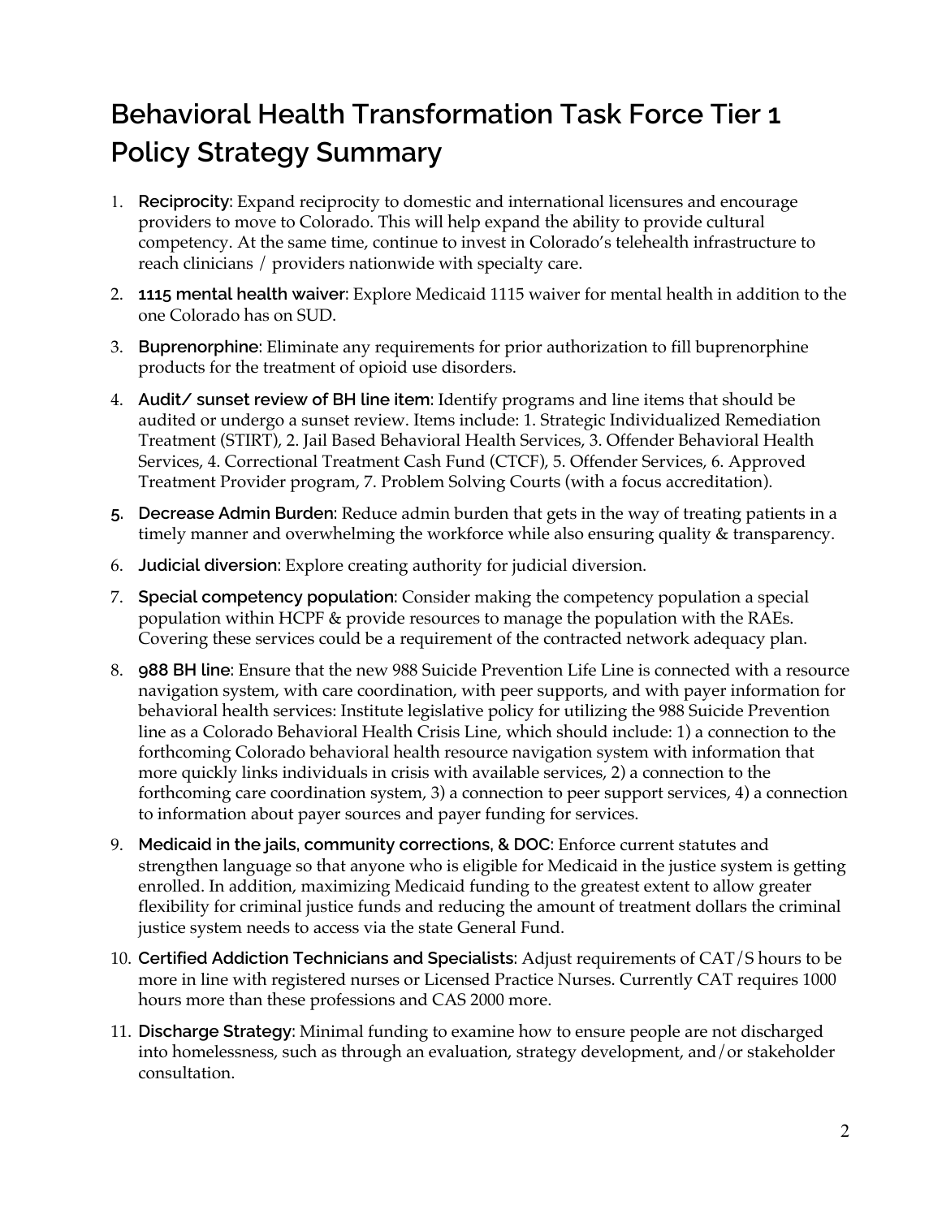# **Behavioral Health Transformation Task Force Tier 1 Policy Strategy Summary**

- 1. **Reciprocity:** Expand reciprocity to domestic and international licensures and encourage providers to move to Colorado. This will help expand the ability to provide cultural competency. At the same time, continue to invest in Colorado's telehealth infrastructure to reach clinicians / providers nationwide with specialty care.
- 2. **1115 mental health waiver:** Explore Medicaid 1115 waiver for mental health in addition to the one Colorado has on SUD.
- 3. **Buprenorphine:** Eliminate any requirements for prior authorization to fill buprenorphine products for the treatment of opioid use disorders.
- 4. **Audit/ sunset review of BH line item:** Identify programs and line items that should be audited or undergo a sunset review. Items include: 1. Strategic Individualized Remediation Treatment (STIRT), 2. Jail Based Behavioral Health Services, 3. Offender Behavioral Health Services, 4. Correctional Treatment Cash Fund (CTCF), 5. Offender Services, 6. Approved Treatment Provider program, 7. Problem Solving Courts (with a focus accreditation).
- **5. Decrease Admin Burden:** Reduce admin burden that gets in the way of treating patients in a timely manner and overwhelming the workforce while also ensuring quality & transparency.
- 6. **Judicial diversion:** Explore creating authority for judicial diversion.
- 7. **Special competency population:** Consider making the competency population a special population within HCPF & provide resources to manage the population with the RAEs. Covering these services could be a requirement of the contracted network adequacy plan.
- 8. **988 BH line:** Ensure that the new 988 Suicide Prevention Life Line is connected with a resource navigation system, with care coordination, with peer supports, and with payer information for behavioral health services: Institute legislative policy for utilizing the 988 Suicide Prevention line as a Colorado Behavioral Health Crisis Line, which should include: 1) a connection to the forthcoming Colorado behavioral health resource navigation system with information that more quickly links individuals in crisis with available services, 2) a connection to the forthcoming care coordination system, 3) a connection to peer support services, 4) a connection to information about payer sources and payer funding for services.
- 9. **Medicaid in the jails, community corrections, & DOC:** Enforce current statutes and strengthen language so that anyone who is eligible for Medicaid in the justice system is getting enrolled. In addition, maximizing Medicaid funding to the greatest extent to allow greater flexibility for criminal justice funds and reducing the amount of treatment dollars the criminal justice system needs to access via the state General Fund.
- 10. **Certified Addiction Technicians and Specialists:** Adjust requirements of CAT/S hours to be more in line with registered nurses or Licensed Practice Nurses. Currently CAT requires 1000 hours more than these professions and CAS 2000 more.
- 11. **Discharge Strategy:** Minimal funding to examine how to ensure people are not discharged into homelessness, such as through an evaluation, strategy development, and/or stakeholder consultation.